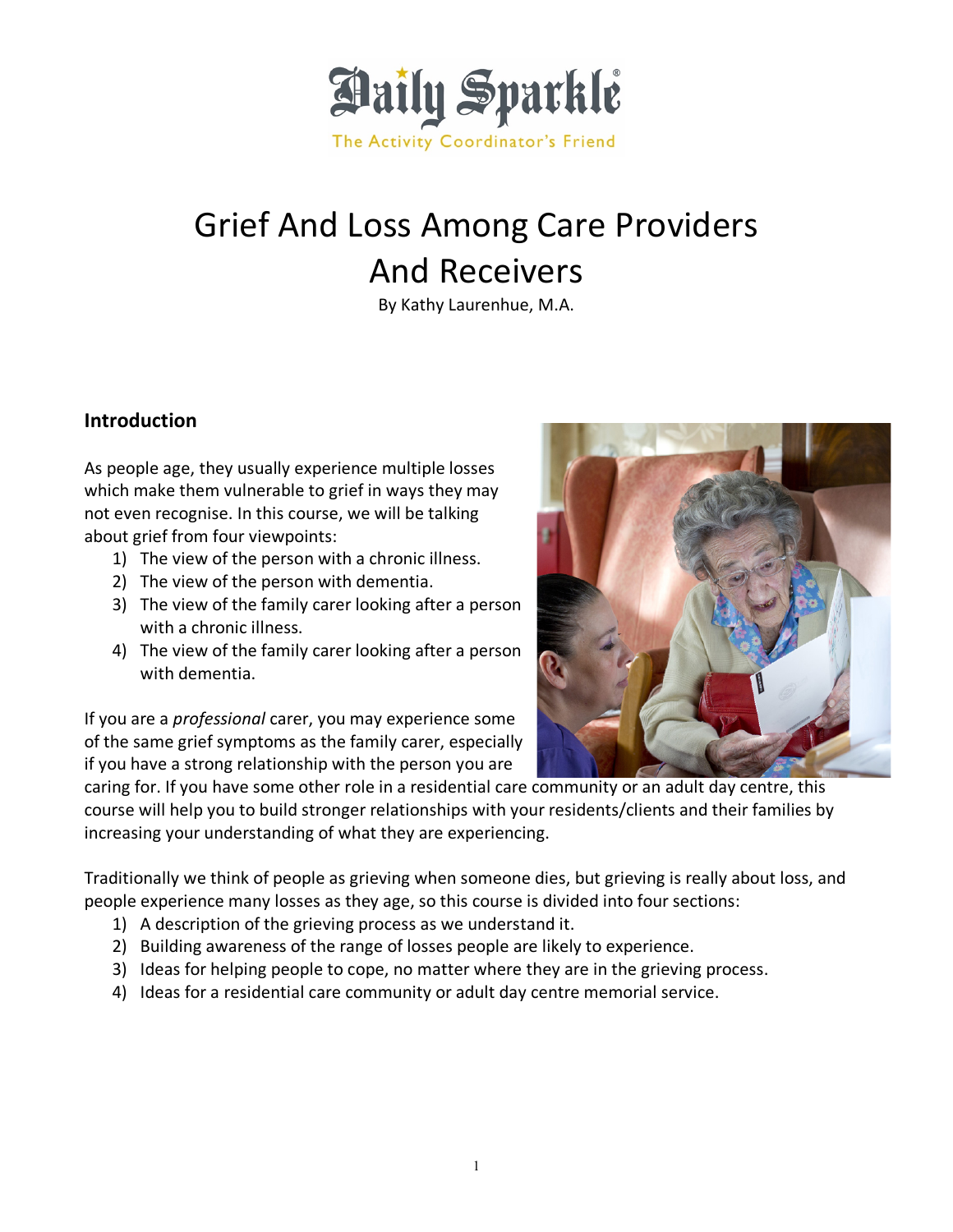

# Grief And Loss Among Care Providers And Receivers

By Kathy Laurenhue, M.A.

## **Introduction**

As people age, they usually experience multiple losses which make them vulnerable to grief in ways they may not even recognise. In this course, we will be talking about grief from four viewpoints:

- 1) The view of the person with a chronic illness.
- 2) The view of the person with dementia.
- 3) The view of the family carer looking after a person with a chronic illness.
- 4) The view of the family carer looking after a person with dementia.

If you are a *professional* carer, you may experience some of the same grief symptoms as the family carer, especially if you have a strong relationship with the person you are



caring for. If you have some other role in a residential care community or an adult day centre, this course will help you to build stronger relationships with your residents/clients and their families by increasing your understanding of what they are experiencing.

Traditionally we think of people as grieving when someone dies, but grieving is really about loss, and people experience many losses as they age, so this course is divided into four sections:

- 1) A description of the grieving process as we understand it.
- 2) Building awareness of the range of losses people are likely to experience.
- 3) Ideas for helping people to cope, no matter where they are in the grieving process.
- 4) Ideas for a residential care community or adult day centre memorial service.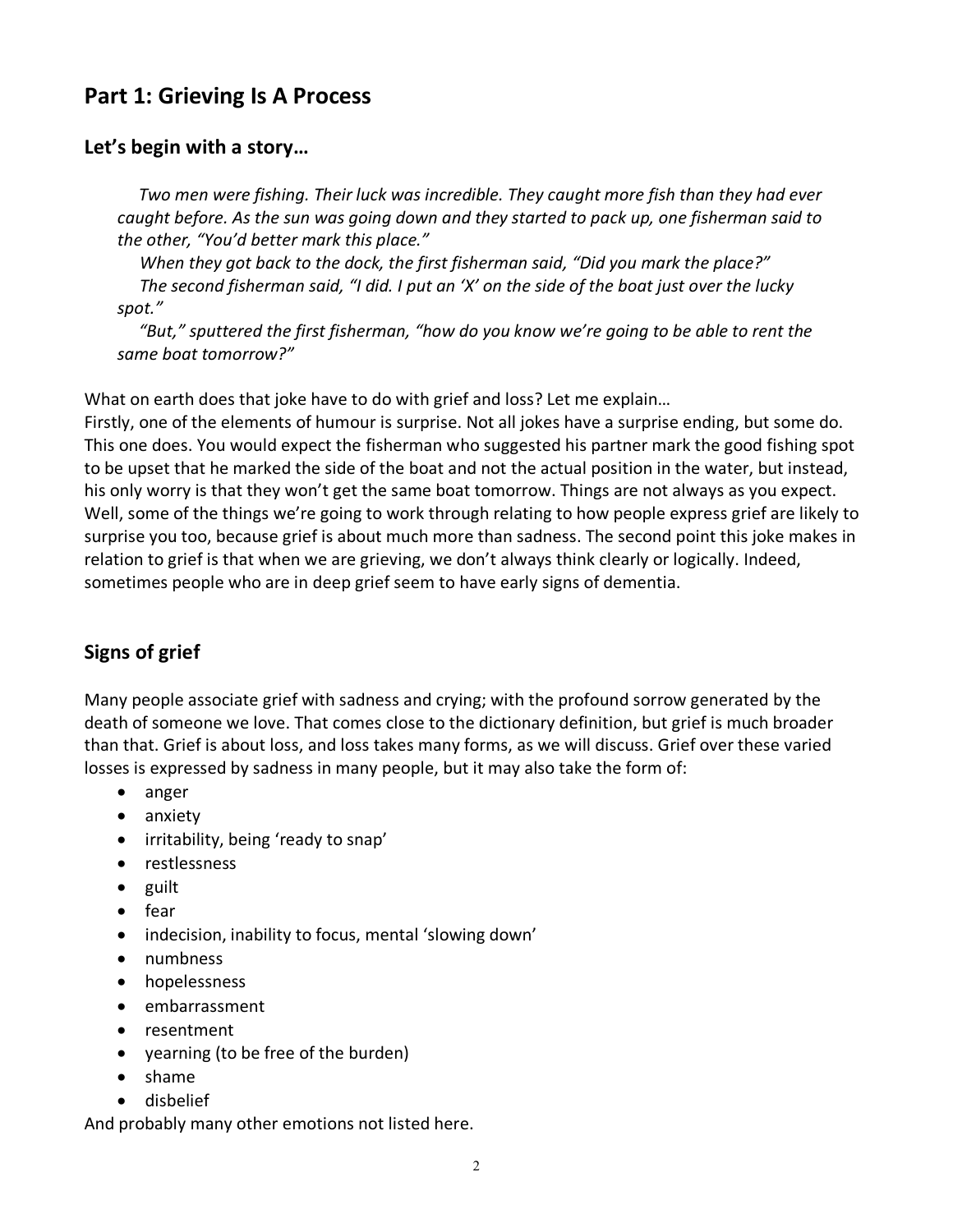# **Part 1: Grieving Is A Process**

## **Let's begin with a story…**

*Two men were fishing. Their luck was incredible. They caught more fish than they had ever caught before. As the sun was going down and they started to pack up, one fisherman said to the other, "You'd better mark this place."*

*When they got back to the dock, the first fisherman said, "Did you mark the place?" The second fisherman said, "I did. I put an 'X' on the side of the boat just over the lucky spot."*

*"But," sputtered the first fisherman, "how do you know we're going to be able to rent the same boat tomorrow?"*

What on earth does that joke have to do with grief and loss? Let me explain…

Firstly, one of the elements of humour is surprise. Not all jokes have a surprise ending, but some do. This one does. You would expect the fisherman who suggested his partner mark the good fishing spot to be upset that he marked the side of the boat and not the actual position in the water, but instead, his only worry is that they won't get the same boat tomorrow. Things are not always as you expect. Well, some of the things we're going to work through relating to how people express grief are likely to surprise you too, because grief is about much more than sadness. The second point this joke makes in relation to grief is that when we are grieving, we don't always think clearly or logically. Indeed, sometimes people who are in deep grief seem to have early signs of dementia.

# **Signs of grief**

Many people associate grief with sadness and crying; with the profound sorrow generated by the death of someone we love. That comes close to the dictionary definition, but grief is much broader than that. Grief is about loss, and loss takes many forms, as we will discuss. Grief over these varied losses is expressed by sadness in many people, but it may also take the form of:

- anger
- anxiety
- irritability, being 'ready to snap'
- restlessness
- guilt
- fear
- indecision, inability to focus, mental 'slowing down'
- numbness
- hopelessness
- embarrassment
- resentment
- yearning (to be free of the burden)
- shame
- disbelief

And probably many other emotions not listed here.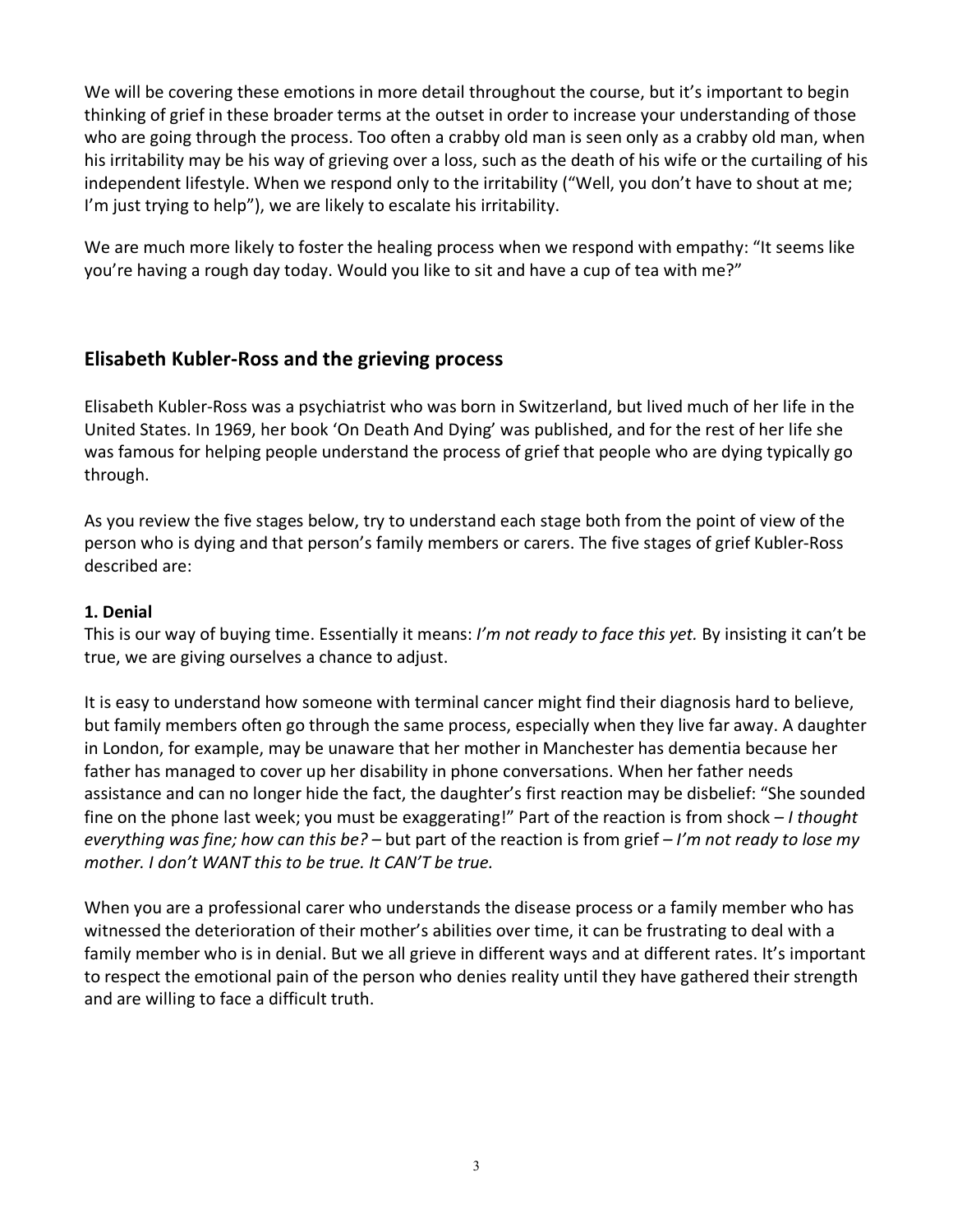We will be covering these emotions in more detail throughout the course, but it's important to begin thinking of grief in these broader terms at the outset in order to increase your understanding of those who are going through the process. Too often a crabby old man is seen only as a crabby old man, when his irritability may be his way of grieving over a loss, such as the death of his wife or the curtailing of his independent lifestyle. When we respond only to the irritability ("Well, you don't have to shout at me; I'm just trying to help"), we are likely to escalate his irritability.

We are much more likely to foster the healing process when we respond with empathy: "It seems like you're having a rough day today. Would you like to sit and have a cup of tea with me?"

#### **Elisabeth Kubler-Ross and the grieving process**

Elisabeth Kubler-Ross was a psychiatrist who was born in Switzerland, but lived much of her life in the United States. In 1969, her book 'On Death And Dying' was published, and for the rest of her life she was famous for helping people understand the process of grief that people who are dying typically go through.

As you review the five stages below, try to understand each stage both from the point of view of the person who is dying and that person's family members or carers. The five stages of grief Kubler-Ross described are:

#### **1. Denial**

This is our way of buying time. Essentially it means: *I'm not ready to face this yet.* By insisting it can't be true, we are giving ourselves a chance to adjust.

It is easy to understand how someone with terminal cancer might find their diagnosis hard to believe, but family members often go through the same process, especially when they live far away. A daughter in London, for example, may be unaware that her mother in Manchester has dementia because her father has managed to cover up her disability in phone conversations. When her father needs assistance and can no longer hide the fact, the daughter's first reaction may be disbelief: "She sounded fine on the phone last week; you must be exaggerating!" Part of the reaction is from shock *– I thought everything was fine; how can this be? –* but part of the reaction is from grief *– I'm not ready to lose my mother. I don't WANT this to be true. It CAN'T be true.*

When you are a professional carer who understands the disease process or a family member who has witnessed the deterioration of their mother's abilities over time, it can be frustrating to deal with a family member who is in denial. But we all grieve in different ways and at different rates. It's important to respect the emotional pain of the person who denies reality until they have gathered their strength and are willing to face a difficult truth.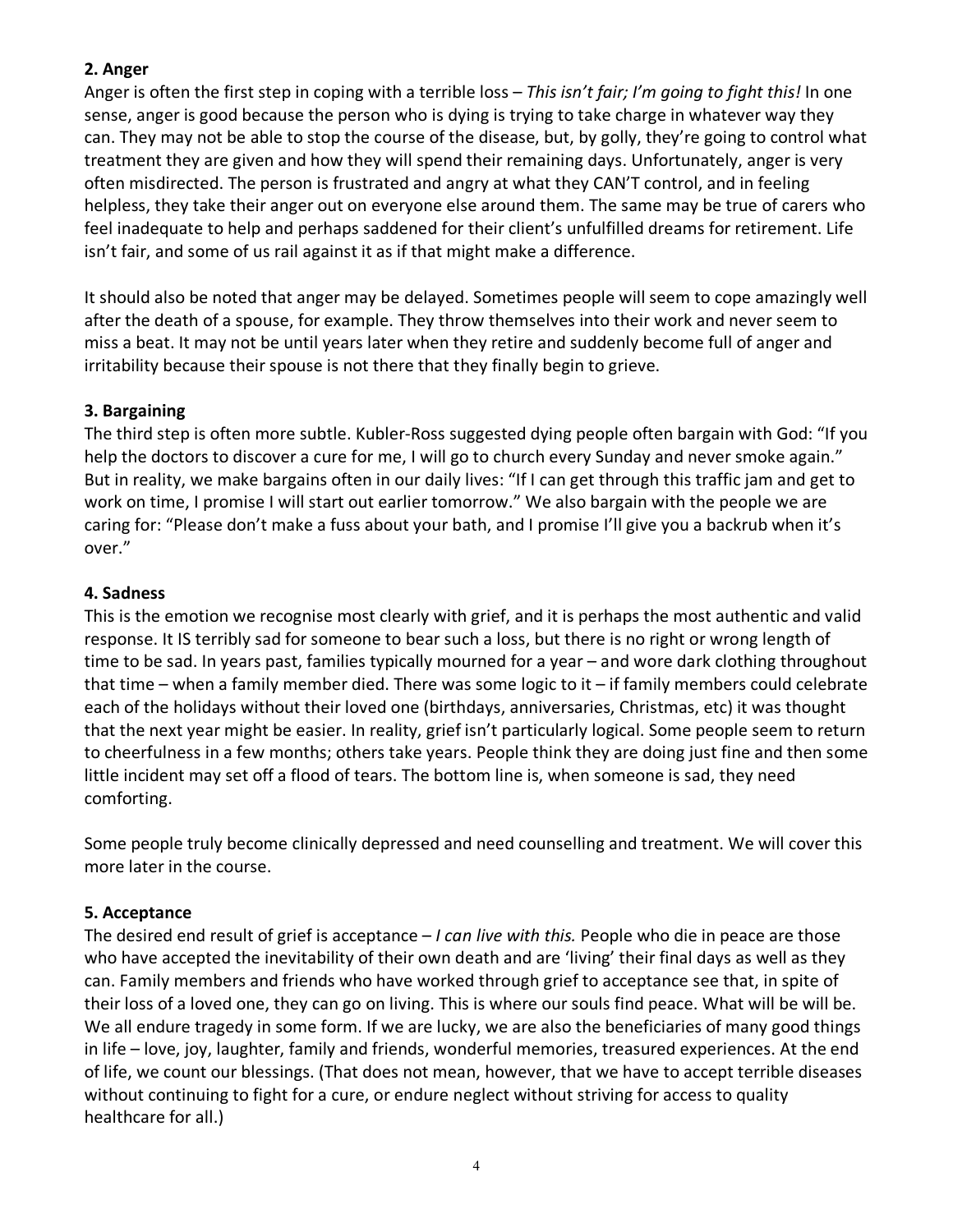#### **2. Anger**

Anger is often the first step in coping with a terrible loss – *This isn't fair; I'm going to fight this!* In one sense, anger is good because the person who is dying is trying to take charge in whatever way they can. They may not be able to stop the course of the disease, but, by golly, they're going to control what treatment they are given and how they will spend their remaining days. Unfortunately, anger is very often misdirected. The person is frustrated and angry at what they CAN'T control, and in feeling helpless, they take their anger out on everyone else around them. The same may be true of carers who feel inadequate to help and perhaps saddened for their client's unfulfilled dreams for retirement. Life isn't fair, and some of us rail against it as if that might make a difference.

It should also be noted that anger may be delayed. Sometimes people will seem to cope amazingly well after the death of a spouse, for example. They throw themselves into their work and never seem to miss a beat. It may not be until years later when they retire and suddenly become full of anger and irritability because their spouse is not there that they finally begin to grieve.

#### **3. Bargaining**

The third step is often more subtle. Kubler-Ross suggested dying people often bargain with God: "If you help the doctors to discover a cure for me, I will go to church every Sunday and never smoke again." But in reality, we make bargains often in our daily lives: "If I can get through this traffic jam and get to work on time, I promise I will start out earlier tomorrow." We also bargain with the people we are caring for: "Please don't make a fuss about your bath, and I promise I'll give you a backrub when it's over."

#### **4. Sadness**

This is the emotion we recognise most clearly with grief, and it is perhaps the most authentic and valid response. It IS terribly sad for someone to bear such a loss, but there is no right or wrong length of time to be sad. In years past, families typically mourned for a year – and wore dark clothing throughout that time – when a family member died. There was some logic to it – if family members could celebrate each of the holidays without their loved one (birthdays, anniversaries, Christmas, etc) it was thought that the next year might be easier. In reality, grief isn't particularly logical. Some people seem to return to cheerfulness in a few months; others take years. People think they are doing just fine and then some little incident may set off a flood of tears. The bottom line is, when someone is sad, they need comforting.

Some people truly become clinically depressed and need counselling and treatment. We will cover this more later in the course.

#### **5. Acceptance**

The desired end result of grief is acceptance – *I can live with this.* People who die in peace are those who have accepted the inevitability of their own death and are 'living' their final days as well as they can. Family members and friends who have worked through grief to acceptance see that, in spite of their loss of a loved one, they can go on living. This is where our souls find peace. What will be will be. We all endure tragedy in some form. If we are lucky, we are also the beneficiaries of many good things in life – love, joy, laughter, family and friends, wonderful memories, treasured experiences. At the end of life, we count our blessings. (That does not mean, however, that we have to accept terrible diseases without continuing to fight for a cure, or endure neglect without striving for access to quality healthcare for all.)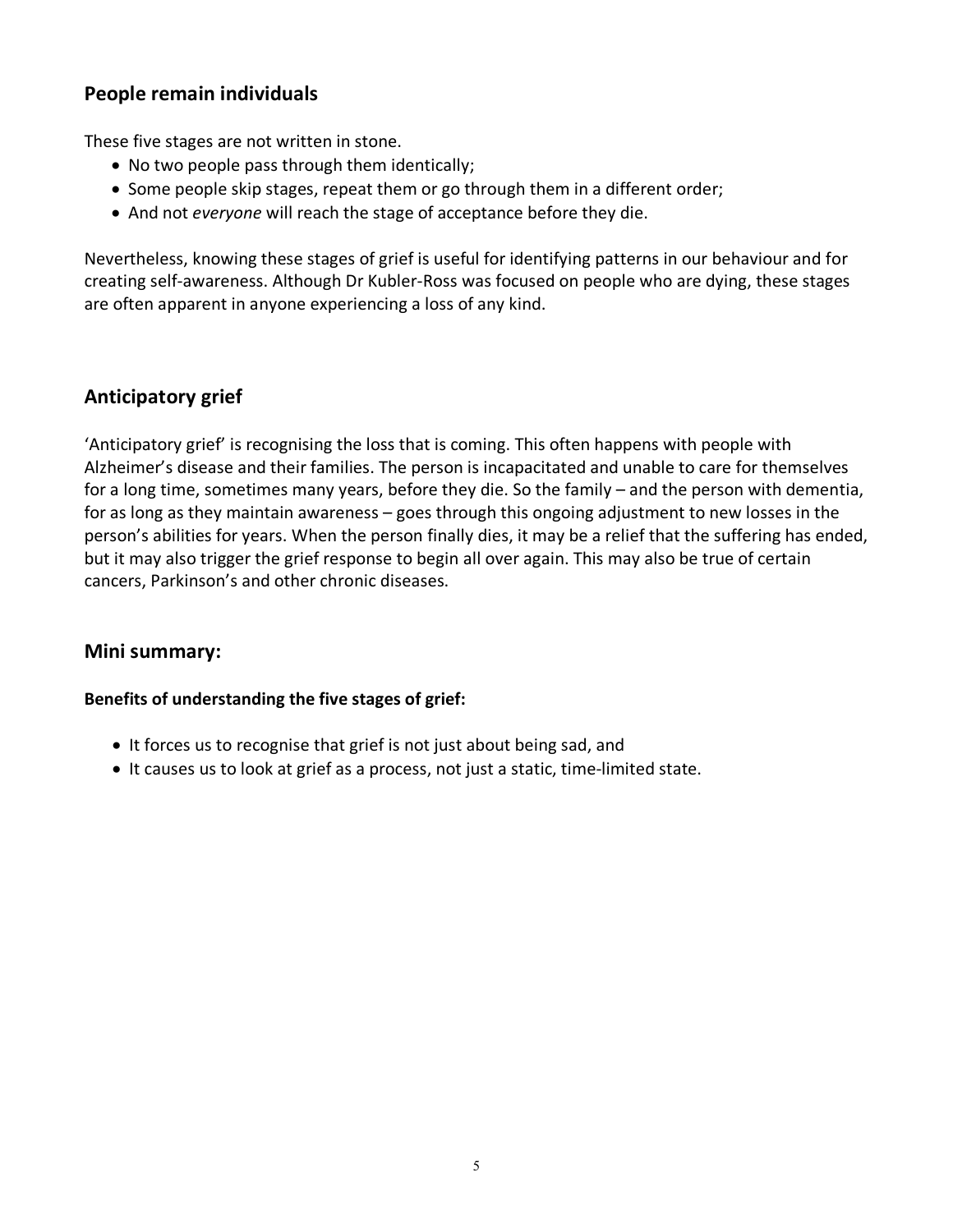# **People remain individuals**

These five stages are not written in stone.

- No two people pass through them identically;
- Some people skip stages, repeat them or go through them in a different order;
- And not *everyone* will reach the stage of acceptance before they die.

Nevertheless, knowing these stages of grief is useful for identifying patterns in our behaviour and for creating self-awareness. Although Dr Kubler-Ross was focused on people who are dying, these stages are often apparent in anyone experiencing a loss of any kind.

# **Anticipatory grief**

'Anticipatory grief' is recognising the loss that is coming. This often happens with people with Alzheimer's disease and their families. The person is incapacitated and unable to care for themselves for a long time, sometimes many years, before they die. So the family – and the person with dementia, for as long as they maintain awareness – goes through this ongoing adjustment to new losses in the person's abilities for years. When the person finally dies, it may be a relief that the suffering has ended, but it may also trigger the grief response to begin all over again. This may also be true of certain cancers, Parkinson's and other chronic diseases.

#### **Mini summary:**

#### **Benefits of understanding the five stages of grief:**

- It forces us to recognise that grief is not just about being sad, and
- It causes us to look at grief as a process, not just a static, time-limited state.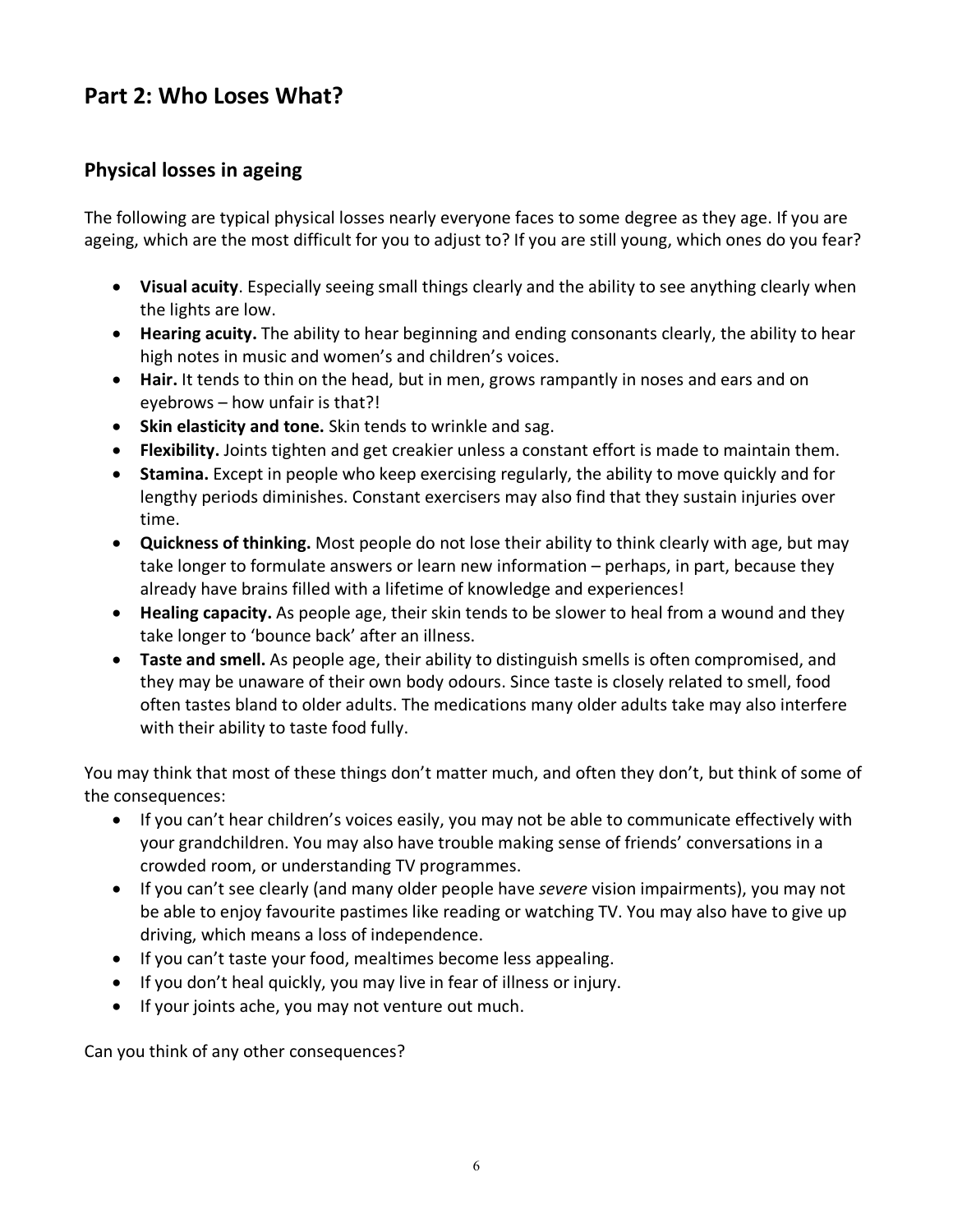# **Part 2: Who Loses What?**

# **Physical losses in ageing**

The following are typical physical losses nearly everyone faces to some degree as they age. If you are ageing, which are the most difficult for you to adjust to? If you are still young, which ones do you fear?

- **Visual acuity**. Especially seeing small things clearly and the ability to see anything clearly when the lights are low.
- **Hearing acuity.** The ability to hear beginning and ending consonants clearly, the ability to hear high notes in music and women's and children's voices.
- **Hair.** It tends to thin on the head, but in men, grows rampantly in noses and ears and on eyebrows – how unfair is that?!
- **Skin elasticity and tone.** Skin tends to wrinkle and sag.
- **Flexibility.** Joints tighten and get creakier unless a constant effort is made to maintain them.
- **Stamina.** Except in people who keep exercising regularly, the ability to move quickly and for lengthy periods diminishes. Constant exercisers may also find that they sustain injuries over time.
- **Quickness of thinking.** Most people do not lose their ability to think clearly with age, but may take longer to formulate answers or learn new information – perhaps, in part, because they already have brains filled with a lifetime of knowledge and experiences!
- **Healing capacity.** As people age, their skin tends to be slower to heal from a wound and they take longer to 'bounce back' after an illness.
- **Taste and smell.** As people age, their ability to distinguish smells is often compromised, and they may be unaware of their own body odours. Since taste is closely related to smell, food often tastes bland to older adults. The medications many older adults take may also interfere with their ability to taste food fully.

You may think that most of these things don't matter much, and often they don't, but think of some of the consequences:

- If you can't hear children's voices easily, you may not be able to communicate effectively with your grandchildren. You may also have trouble making sense of friends' conversations in a crowded room, or understanding TV programmes.
- If you can't see clearly (and many older people have *severe* vision impairments), you may not be able to enjoy favourite pastimes like reading or watching TV. You may also have to give up driving, which means a loss of independence.
- If you can't taste your food, mealtimes become less appealing.
- If you don't heal quickly, you may live in fear of illness or injury.
- If your joints ache, you may not venture out much.

Can you think of any other consequences?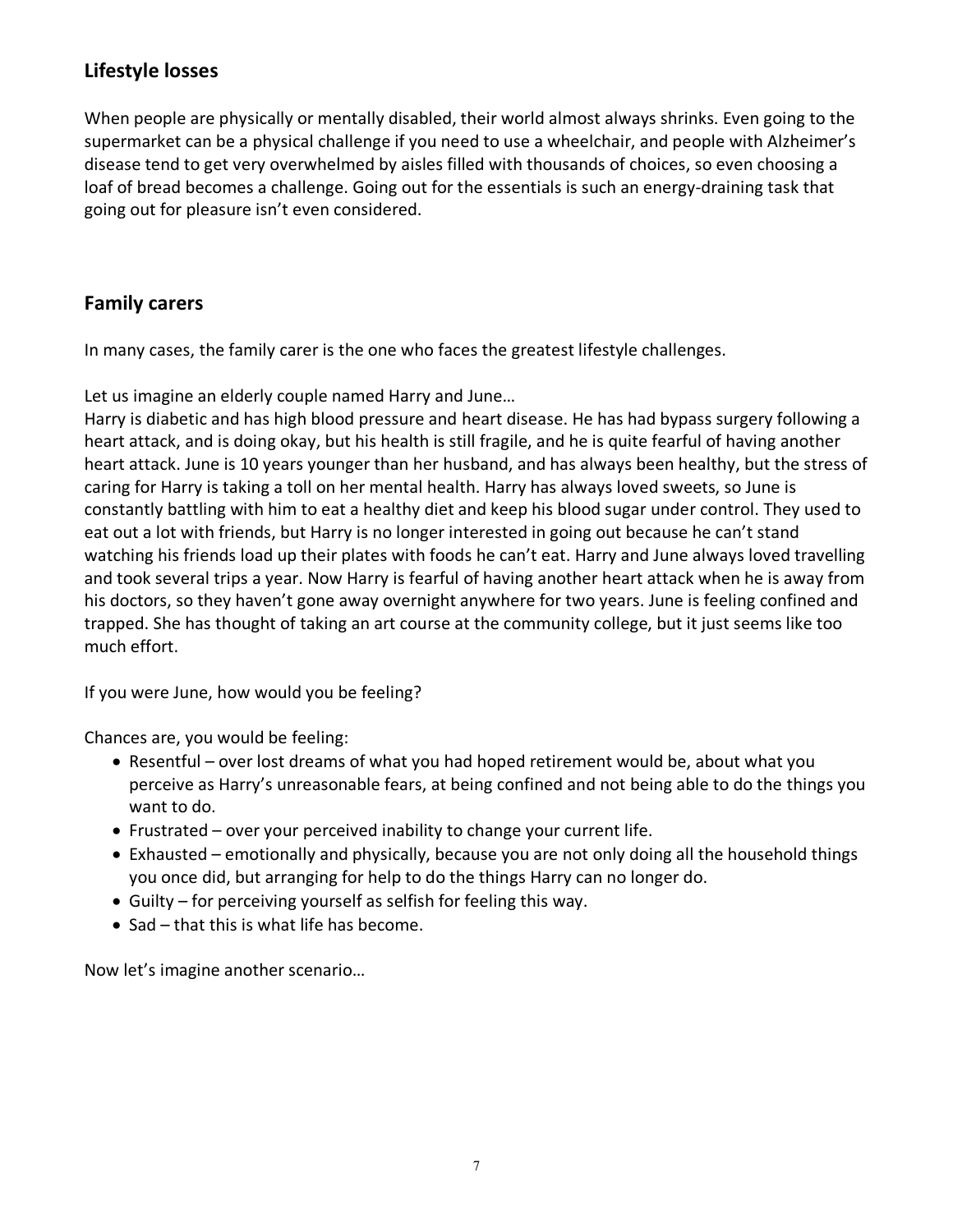# **Lifestyle losses**

When people are physically or mentally disabled, their world almost always shrinks. Even going to the supermarket can be a physical challenge if you need to use a wheelchair, and people with Alzheimer's disease tend to get very overwhelmed by aisles filled with thousands of choices, so even choosing a loaf of bread becomes a challenge. Going out for the essentials is such an energy-draining task that going out for pleasure isn't even considered.

# **Family carers**

In many cases, the family carer is the one who faces the greatest lifestyle challenges.

Let us imagine an elderly couple named Harry and June…

Harry is diabetic and has high blood pressure and heart disease. He has had bypass surgery following a heart attack, and is doing okay, but his health is still fragile, and he is quite fearful of having another heart attack. June is 10 years younger than her husband, and has always been healthy, but the stress of caring for Harry is taking a toll on her mental health. Harry has always loved sweets, so June is constantly battling with him to eat a healthy diet and keep his blood sugar under control. They used to eat out a lot with friends, but Harry is no longer interested in going out because he can't stand watching his friends load up their plates with foods he can't eat. Harry and June always loved travelling and took several trips a year. Now Harry is fearful of having another heart attack when he is away from his doctors, so they haven't gone away overnight anywhere for two years. June is feeling confined and trapped. She has thought of taking an art course at the community college, but it just seems like too much effort.

If you were June, how would you be feeling?

Chances are, you would be feeling:

- Resentful over lost dreams of what you had hoped retirement would be, about what you perceive as Harry's unreasonable fears, at being confined and not being able to do the things you want to do.
- Frustrated over your perceived inability to change your current life.
- Exhausted emotionally and physically, because you are not only doing all the household things you once did, but arranging for help to do the things Harry can no longer do.
- Guilty for perceiving yourself as selfish for feeling this way.
- Sad that this is what life has become.

Now let's imagine another scenario…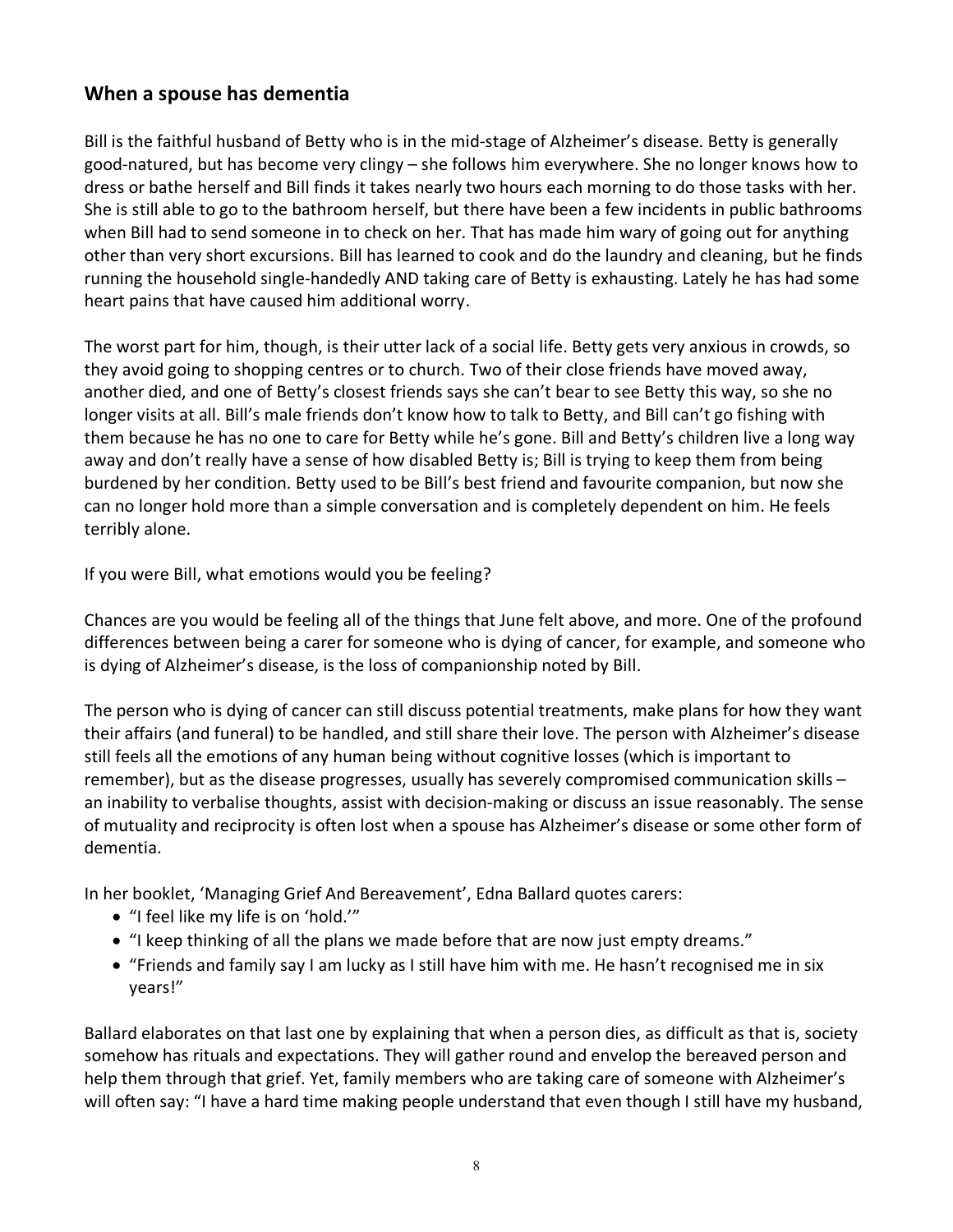# **When a spouse has dementia**

Bill is the faithful husband of Betty who is in the mid-stage of Alzheimer's disease. Betty is generally good-natured, but has become very clingy – she follows him everywhere. She no longer knows how to dress or bathe herself and Bill finds it takes nearly two hours each morning to do those tasks with her. She is still able to go to the bathroom herself, but there have been a few incidents in public bathrooms when Bill had to send someone in to check on her. That has made him wary of going out for anything other than very short excursions. Bill has learned to cook and do the laundry and cleaning, but he finds running the household single-handedly AND taking care of Betty is exhausting. Lately he has had some heart pains that have caused him additional worry.

The worst part for him, though, is their utter lack of a social life. Betty gets very anxious in crowds, so they avoid going to shopping centres or to church. Two of their close friends have moved away, another died, and one of Betty's closest friends says she can't bear to see Betty this way, so she no longer visits at all. Bill's male friends don't know how to talk to Betty, and Bill can't go fishing with them because he has no one to care for Betty while he's gone. Bill and Betty's children live a long way away and don't really have a sense of how disabled Betty is; Bill is trying to keep them from being burdened by her condition. Betty used to be Bill's best friend and favourite companion, but now she can no longer hold more than a simple conversation and is completely dependent on him. He feels terribly alone.

If you were Bill, what emotions would you be feeling?

Chances are you would be feeling all of the things that June felt above, and more. One of the profound differences between being a carer for someone who is dying of cancer, for example, and someone who is dying of Alzheimer's disease, is the loss of companionship noted by Bill.

The person who is dying of cancer can still discuss potential treatments, make plans for how they want their affairs (and funeral) to be handled, and still share their love. The person with Alzheimer's disease still feels all the emotions of any human being without cognitive losses (which is important to remember), but as the disease progresses, usually has severely compromised communication skills – an inability to verbalise thoughts, assist with decision-making or discuss an issue reasonably. The sense of mutuality and reciprocity is often lost when a spouse has Alzheimer's disease or some other form of dementia.

In her booklet, 'Managing Grief And Bereavement', Edna Ballard quotes carers:

- "I feel like my life is on 'hold.'"
- "I keep thinking of all the plans we made before that are now just empty dreams."
- "Friends and family say I am lucky as I still have him with me. He hasn't recognised me in six years!"

Ballard elaborates on that last one by explaining that when a person dies, as difficult as that is, society somehow has rituals and expectations. They will gather round and envelop the bereaved person and help them through that grief. Yet, family members who are taking care of someone with Alzheimer's will often say: "I have a hard time making people understand that even though I still have my husband,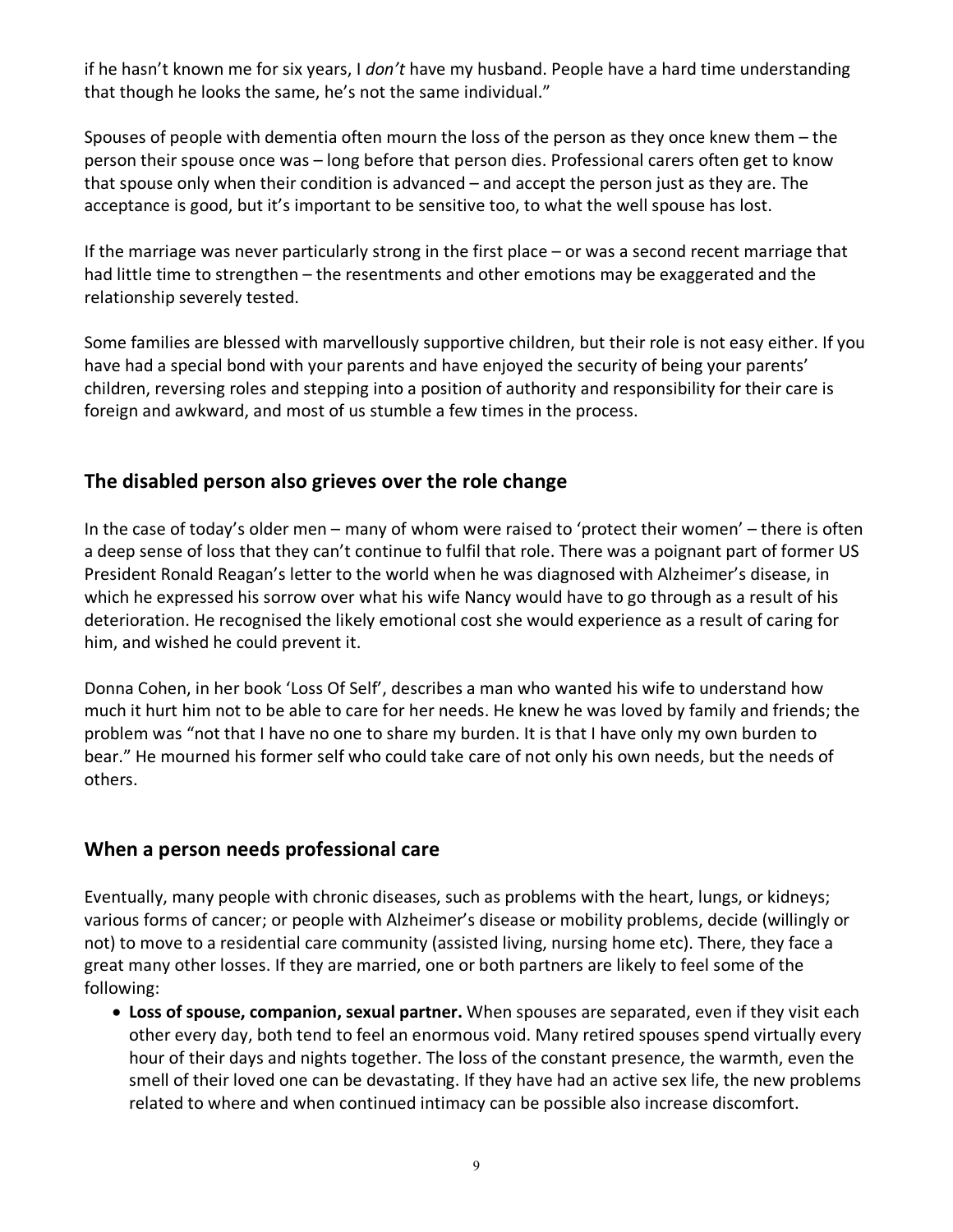if he hasn't known me for six years, I *don't* have my husband. People have a hard time understanding that though he looks the same, he's not the same individual."

Spouses of people with dementia often mourn the loss of the person as they once knew them – the person their spouse once was – long before that person dies. Professional carers often get to know that spouse only when their condition is advanced – and accept the person just as they are. The acceptance is good, but it's important to be sensitive too, to what the well spouse has lost.

If the marriage was never particularly strong in the first place – or was a second recent marriage that had little time to strengthen – the resentments and other emotions may be exaggerated and the relationship severely tested.

Some families are blessed with marvellously supportive children, but their role is not easy either. If you have had a special bond with your parents and have enjoyed the security of being your parents' children, reversing roles and stepping into a position of authority and responsibility for their care is foreign and awkward, and most of us stumble a few times in the process.

#### **The disabled person also grieves over the role change**

In the case of today's older men – many of whom were raised to 'protect their women' – there is often a deep sense of loss that they can't continue to fulfil that role. There was a poignant part of former US President Ronald Reagan's letter to the world when he was diagnosed with Alzheimer's disease, in which he expressed his sorrow over what his wife Nancy would have to go through as a result of his deterioration. He recognised the likely emotional cost she would experience as a result of caring for him, and wished he could prevent it.

Donna Cohen, in her book 'Loss Of Self', describes a man who wanted his wife to understand how much it hurt him not to be able to care for her needs. He knew he was loved by family and friends; the problem was "not that I have no one to share my burden. It is that I have only my own burden to bear." He mourned his former self who could take care of not only his own needs, but the needs of others.

#### **When a person needs professional care**

Eventually, many people with chronic diseases, such as problems with the heart, lungs, or kidneys; various forms of cancer; or people with Alzheimer's disease or mobility problems, decide (willingly or not) to move to a residential care community (assisted living, nursing home etc). There, they face a great many other losses. If they are married, one or both partners are likely to feel some of the following:

• **Loss of spouse, companion, sexual partner.** When spouses are separated, even if they visit each other every day, both tend to feel an enormous void. Many retired spouses spend virtually every hour of their days and nights together. The loss of the constant presence, the warmth, even the smell of their loved one can be devastating. If they have had an active sex life, the new problems related to where and when continued intimacy can be possible also increase discomfort.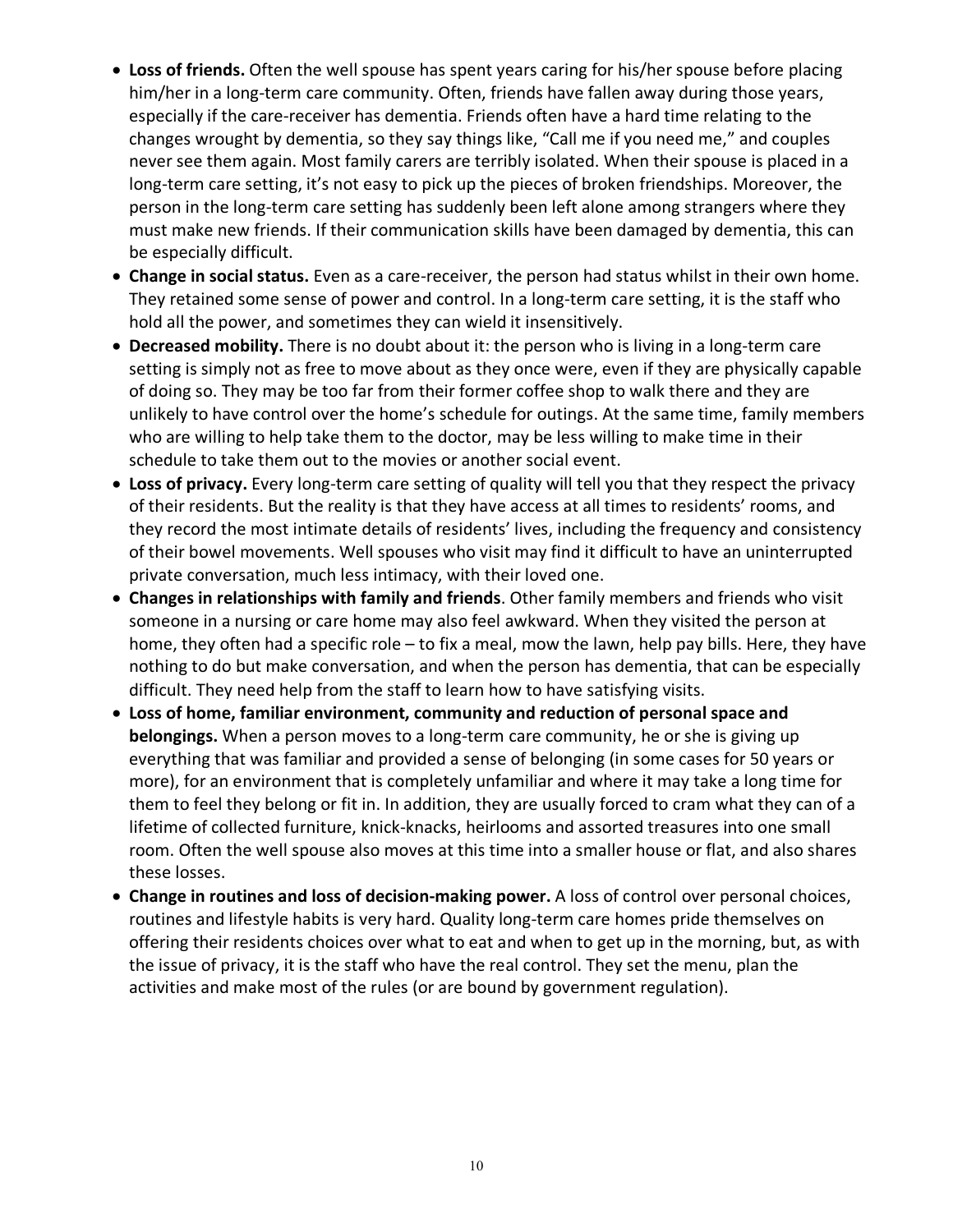- **Loss of friends.** Often the well spouse has spent years caring for his/her spouse before placing him/her in a long-term care community. Often, friends have fallen away during those years, especially if the care-receiver has dementia. Friends often have a hard time relating to the changes wrought by dementia, so they say things like, "Call me if you need me," and couples never see them again. Most family carers are terribly isolated. When their spouse is placed in a long-term care setting, it's not easy to pick up the pieces of broken friendships. Moreover, the person in the long-term care setting has suddenly been left alone among strangers where they must make new friends. If their communication skills have been damaged by dementia, this can be especially difficult.
- **Change in social status.** Even as a care-receiver, the person had status whilst in their own home. They retained some sense of power and control. In a long-term care setting, it is the staff who hold all the power, and sometimes they can wield it insensitively.
- **Decreased mobility.** There is no doubt about it: the person who is living in a long-term care setting is simply not as free to move about as they once were, even if they are physically capable of doing so. They may be too far from their former coffee shop to walk there and they are unlikely to have control over the home's schedule for outings. At the same time, family members who are willing to help take them to the doctor, may be less willing to make time in their schedule to take them out to the movies or another social event.
- **Loss of privacy.** Every long-term care setting of quality will tell you that they respect the privacy of their residents. But the reality is that they have access at all times to residents' rooms, and they record the most intimate details of residents' lives, including the frequency and consistency of their bowel movements. Well spouses who visit may find it difficult to have an uninterrupted private conversation, much less intimacy, with their loved one.
- **Changes in relationships with family and friends**. Other family members and friends who visit someone in a nursing or care home may also feel awkward. When they visited the person at home, they often had a specific role – to fix a meal, mow the lawn, help pay bills. Here, they have nothing to do but make conversation, and when the person has dementia, that can be especially difficult. They need help from the staff to learn how to have satisfying visits.
- **Loss of home, familiar environment, community and reduction of personal space and belongings.** When a person moves to a long-term care community, he or she is giving up everything that was familiar and provided a sense of belonging (in some cases for 50 years or more), for an environment that is completely unfamiliar and where it may take a long time for them to feel they belong or fit in. In addition, they are usually forced to cram what they can of a lifetime of collected furniture, knick-knacks, heirlooms and assorted treasures into one small room. Often the well spouse also moves at this time into a smaller house or flat, and also shares these losses.
- **Change in routines and loss of decision-making power.** A loss of control over personal choices, routines and lifestyle habits is very hard. Quality long-term care homes pride themselves on offering their residents choices over what to eat and when to get up in the morning, but, as with the issue of privacy, it is the staff who have the real control. They set the menu, plan the activities and make most of the rules (or are bound by government regulation).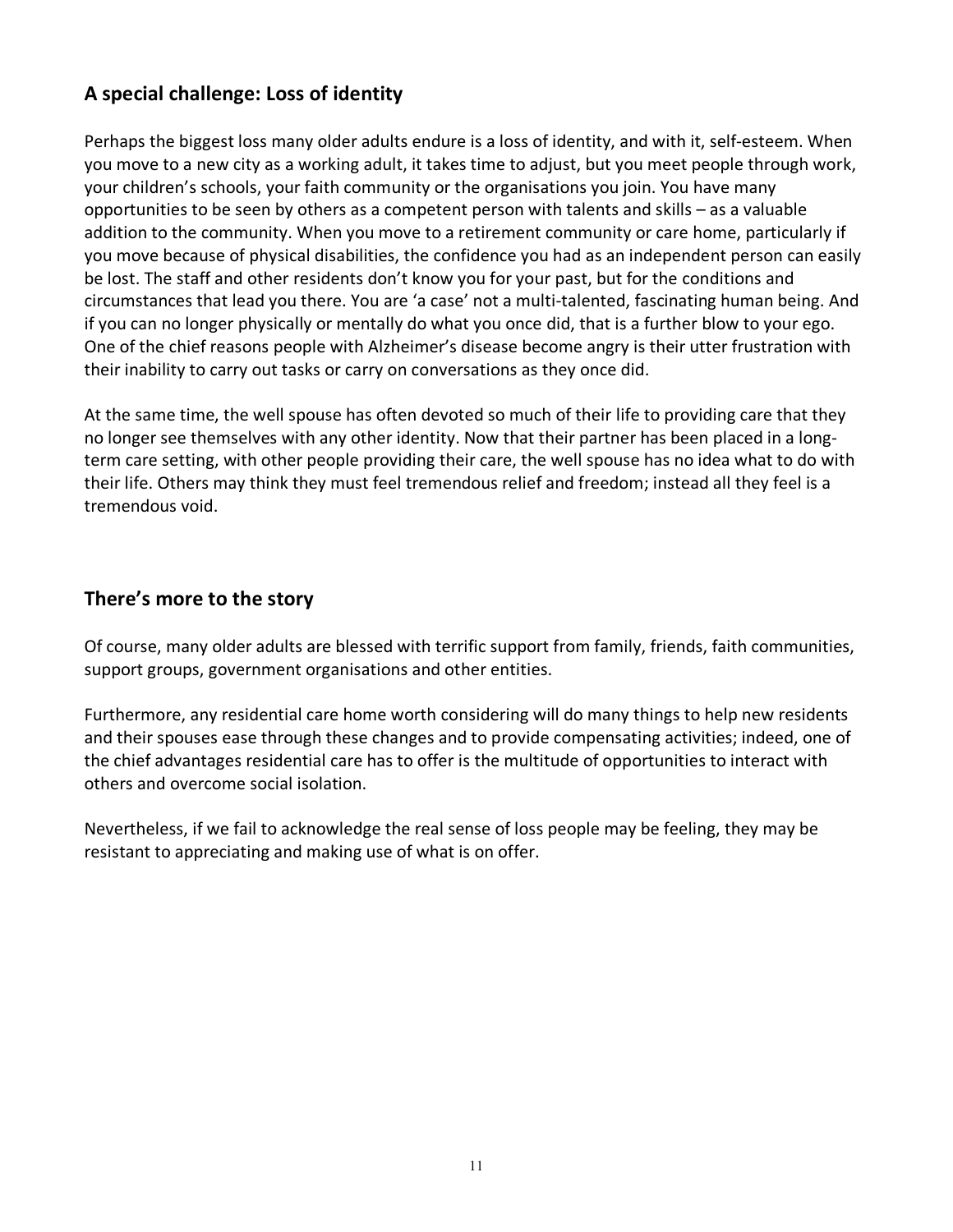# **A special challenge: Loss of identity**

Perhaps the biggest loss many older adults endure is a loss of identity, and with it, self-esteem. When you move to a new city as a working adult, it takes time to adjust, but you meet people through work, your children's schools, your faith community or the organisations you join. You have many opportunities to be seen by others as a competent person with talents and skills – as a valuable addition to the community. When you move to a retirement community or care home, particularly if you move because of physical disabilities, the confidence you had as an independent person can easily be lost. The staff and other residents don't know you for your past, but for the conditions and circumstances that lead you there. You are 'a case' not a multi-talented, fascinating human being. And if you can no longer physically or mentally do what you once did, that is a further blow to your ego. One of the chief reasons people with Alzheimer's disease become angry is their utter frustration with their inability to carry out tasks or carry on conversations as they once did.

At the same time, the well spouse has often devoted so much of their life to providing care that they no longer see themselves with any other identity. Now that their partner has been placed in a longterm care setting, with other people providing their care, the well spouse has no idea what to do with their life. Others may think they must feel tremendous relief and freedom; instead all they feel is a tremendous void.

#### **There's more to the story**

Of course, many older adults are blessed with terrific support from family, friends, faith communities, support groups, government organisations and other entities.

Furthermore, any residential care home worth considering will do many things to help new residents and their spouses ease through these changes and to provide compensating activities; indeed, one of the chief advantages residential care has to offer is the multitude of opportunities to interact with others and overcome social isolation.

Nevertheless, if we fail to acknowledge the real sense of loss people may be feeling, they may be resistant to appreciating and making use of what is on offer.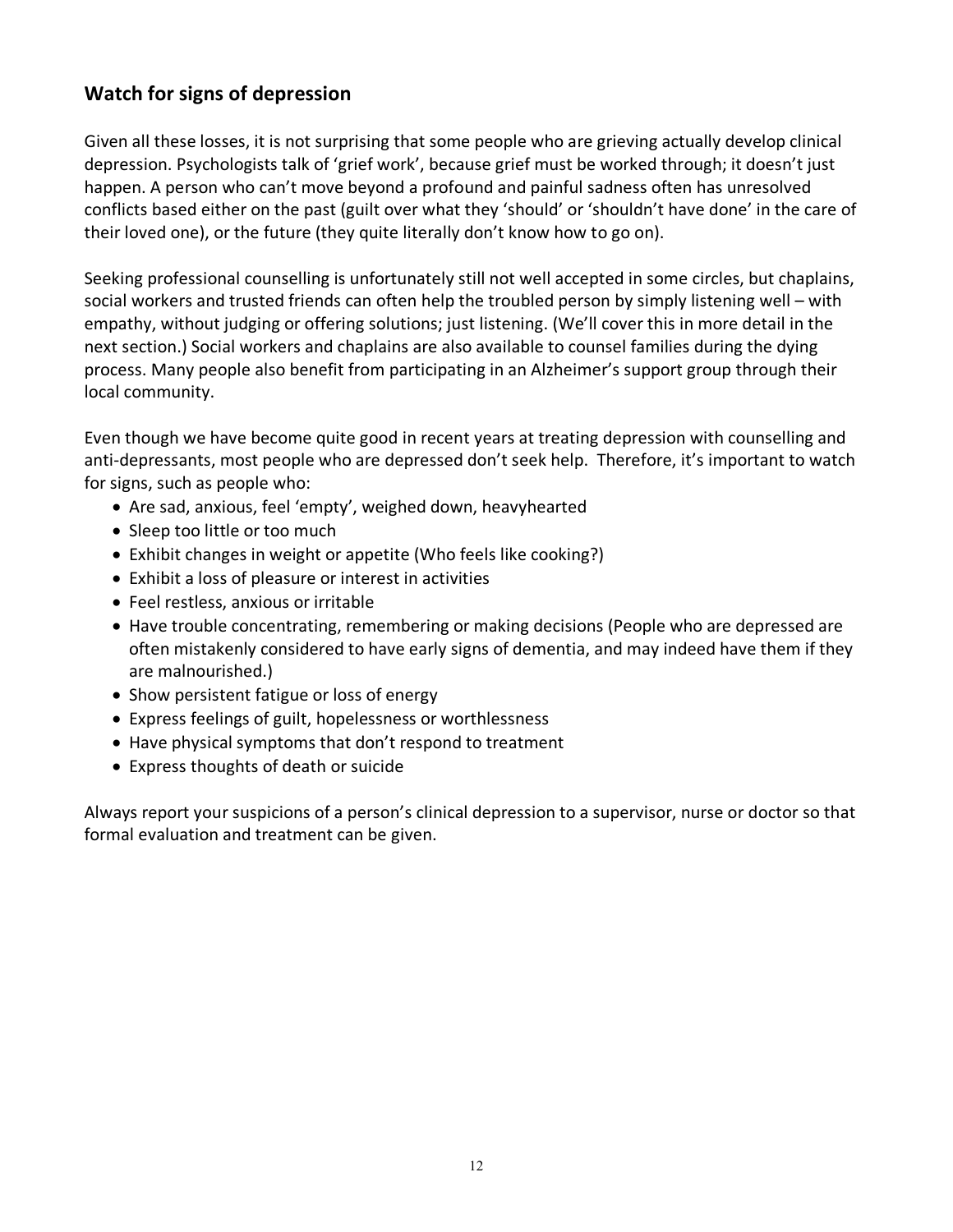# **Watch for signs of depression**

Given all these losses, it is not surprising that some people who are grieving actually develop clinical depression. Psychologists talk of 'grief work', because grief must be worked through; it doesn't just happen. A person who can't move beyond a profound and painful sadness often has unresolved conflicts based either on the past (guilt over what they 'should' or 'shouldn't have done' in the care of their loved one), or the future (they quite literally don't know how to go on).

Seeking professional counselling is unfortunately still not well accepted in some circles, but chaplains, social workers and trusted friends can often help the troubled person by simply listening well – with empathy, without judging or offering solutions; just listening. (We'll cover this in more detail in the next section.) Social workers and chaplains are also available to counsel families during the dying process. Many people also benefit from participating in an Alzheimer's support group through their local community.

Even though we have become quite good in recent years at treating depression with counselling and anti-depressants, most people who are depressed don't seek help. Therefore, it's important to watch for signs, such as people who:

- Are sad, anxious, feel 'empty', weighed down, heavyhearted
- Sleep too little or too much
- Exhibit changes in weight or appetite (Who feels like cooking?)
- Exhibit a loss of pleasure or interest in activities
- Feel restless, anxious or irritable
- Have trouble concentrating, remembering or making decisions (People who are depressed are often mistakenly considered to have early signs of dementia, and may indeed have them if they are malnourished.)
- Show persistent fatigue or loss of energy
- Express feelings of guilt, hopelessness or worthlessness
- Have physical symptoms that don't respond to treatment
- Express thoughts of death or suicide

Always report your suspicions of a person's clinical depression to a supervisor, nurse or doctor so that formal evaluation and treatment can be given.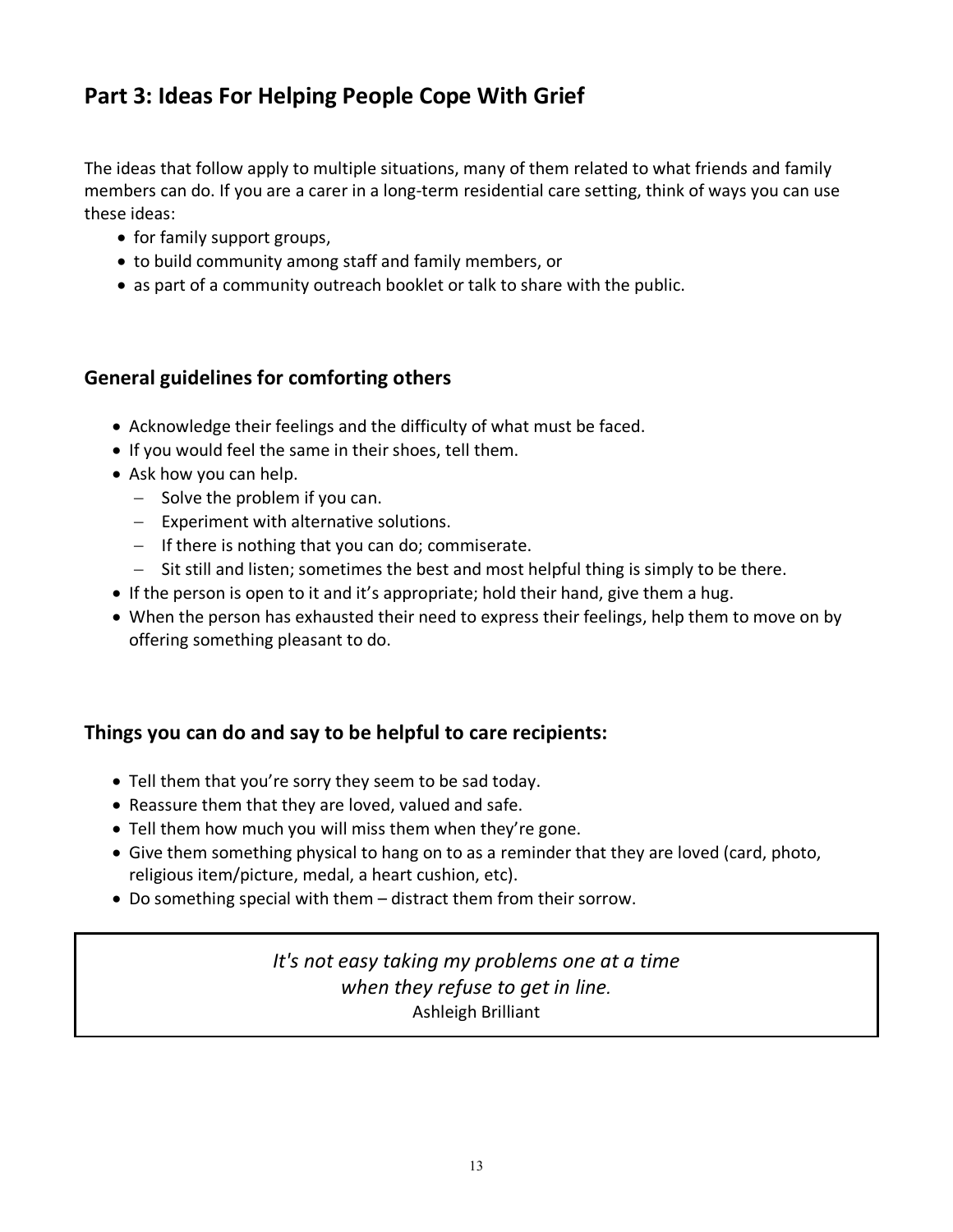# **Part 3: Ideas For Helping People Cope With Grief**

The ideas that follow apply to multiple situations, many of them related to what friends and family members can do. If you are a carer in a long-term residential care setting, think of ways you can use these ideas:

- for family support groups,
- to build community among staff and family members, or
- as part of a community outreach booklet or talk to share with the public.

# **General guidelines for comforting others**

- Acknowledge their feelings and the difficulty of what must be faced.
- If you would feel the same in their shoes, tell them.
- Ask how you can help.
	- $-$  Solve the problem if you can.
	- Experiment with alternative solutions.
	- If there is nothing that you can do; commiserate.
	- Sit still and listen; sometimes the best and most helpful thing is simply to be there.
- If the person is open to it and it's appropriate; hold their hand, give them a hug.
- When the person has exhausted their need to express their feelings, help them to move on by offering something pleasant to do.

# **Things you can do and say to be helpful to care recipients:**

- Tell them that you're sorry they seem to be sad today.
- Reassure them that they are loved, valued and safe.
- Tell them how much you will miss them when they're gone.
- Give them something physical to hang on to as a reminder that they are loved (card, photo, religious item/picture, medal, a heart cushion, etc).
- Do something special with them distract them from their sorrow.

*It's not easy taking my problems one at a time when they refuse to get in line.*  Ashleigh Brilliant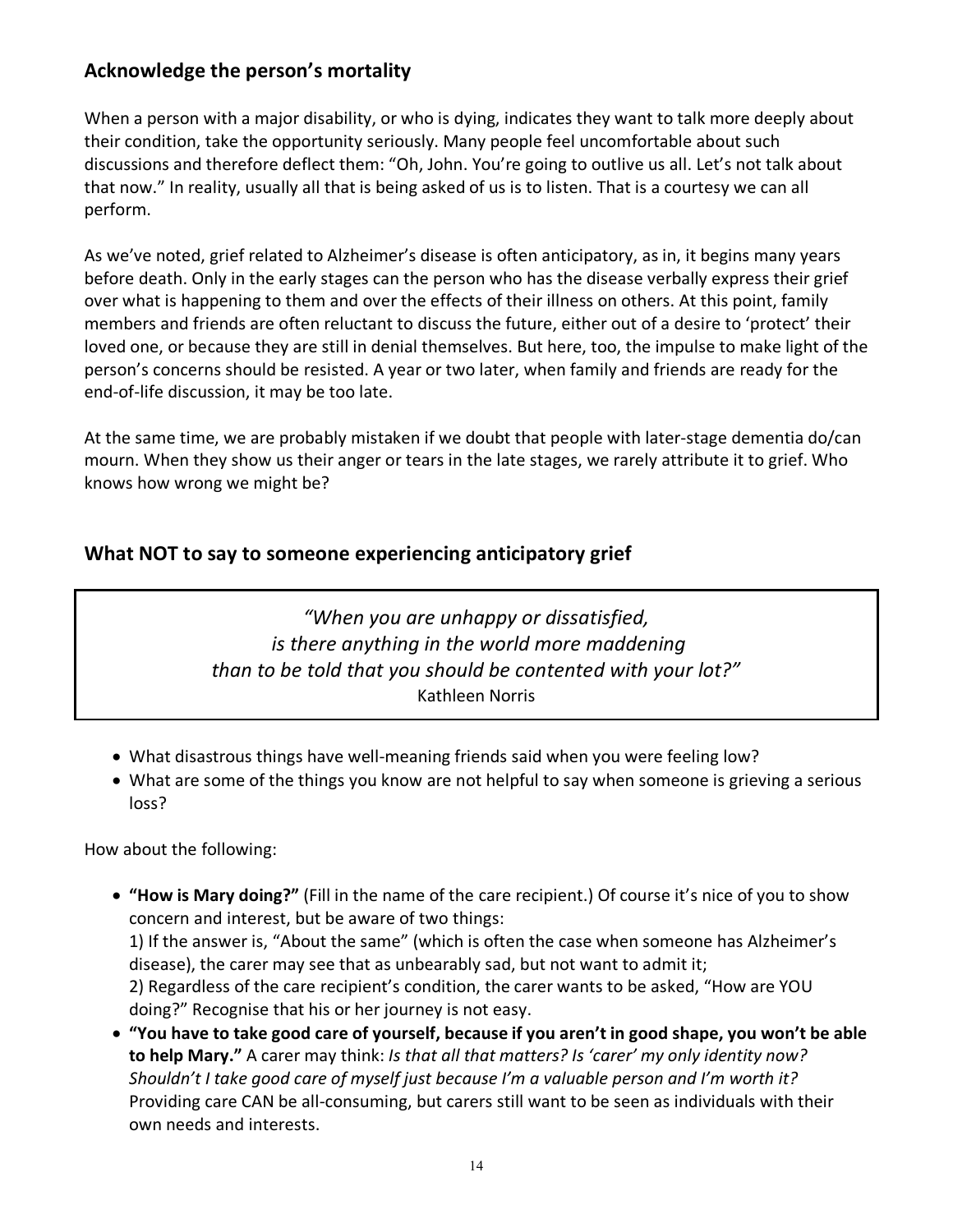# **Acknowledge the person's mortality**

When a person with a major disability, or who is dying, indicates they want to talk more deeply about their condition, take the opportunity seriously. Many people feel uncomfortable about such discussions and therefore deflect them: "Oh, John. You're going to outlive us all. Let's not talk about that now." In reality, usually all that is being asked of us is to listen. That is a courtesy we can all perform.

As we've noted, grief related to Alzheimer's disease is often anticipatory, as in, it begins many years before death. Only in the early stages can the person who has the disease verbally express their grief over what is happening to them and over the effects of their illness on others. At this point, family members and friends are often reluctant to discuss the future, either out of a desire to 'protect' their loved one, or because they are still in denial themselves. But here, too, the impulse to make light of the person's concerns should be resisted. A year or two later, when family and friends are ready for the end-of-life discussion, it may be too late.

At the same time, we are probably mistaken if we doubt that people with later-stage dementia do/can mourn. When they show us their anger or tears in the late stages, we rarely attribute it to grief. Who knows how wrong we might be?

# **What NOT to say to someone experiencing anticipatory grief**

*"When you are unhappy or dissatisfied, is there anything in the world more maddening than to be told that you should be contented with your lot?"* Kathleen Norris

- What disastrous things have well-meaning friends said when you were feeling low?
- What are some of the things you know are not helpful to say when someone is grieving a serious loss?

How about the following:

• **"How is Mary doing?"** (Fill in the name of the care recipient.) Of course it's nice of you to show concern and interest, but be aware of two things: 1) If the answer is, "About the same" (which is often the case when someone has Alzheimer's

disease), the carer may see that as unbearably sad, but not want to admit it; 2) Regardless of the care recipient's condition, the carer wants to be asked, "How are YOU doing?" Recognise that his or her journey is not easy.

• **"You have to take good care of yourself, because if you aren't in good shape, you won't be able to help Mary."** A carer may think: *Is that all that matters? Is 'carer' my only identity now? Shouldn't I take good care of myself just because I'm a valuable person and I'm worth it?* Providing care CAN be all-consuming, but carers still want to be seen as individuals with their own needs and interests.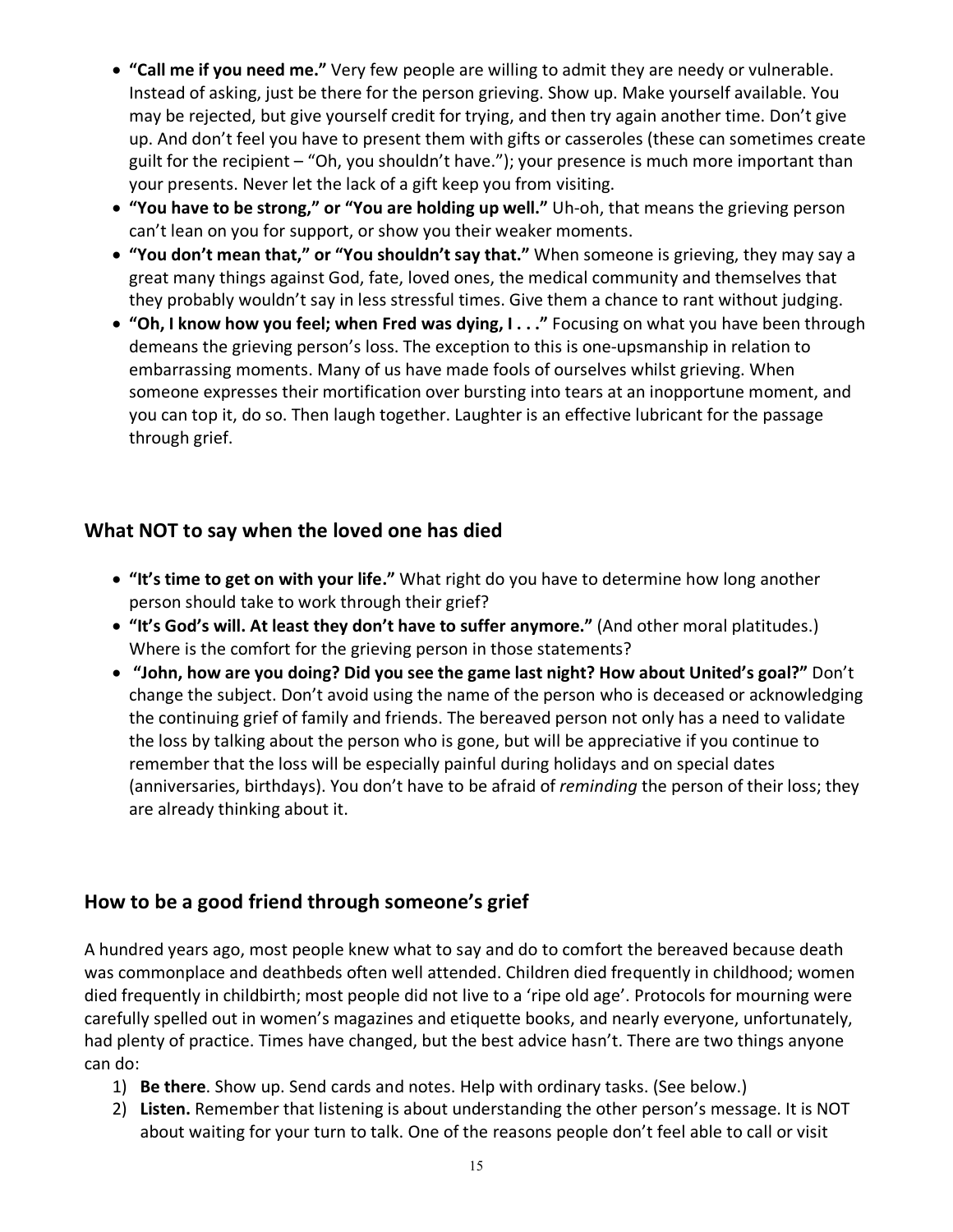- **"Call me if you need me."** Very few people are willing to admit they are needy or vulnerable. Instead of asking, just be there for the person grieving. Show up. Make yourself available. You may be rejected, but give yourself credit for trying, and then try again another time. Don't give up. And don't feel you have to present them with gifts or casseroles (these can sometimes create guilt for the recipient – "Oh, you shouldn't have."); your presence is much more important than your presents. Never let the lack of a gift keep you from visiting.
- **"You have to be strong," or "You are holding up well."** Uh-oh, that means the grieving person can't lean on you for support, or show you their weaker moments.
- **"You don't mean that," or "You shouldn't say that."** When someone is grieving, they may say a great many things against God, fate, loved ones, the medical community and themselves that they probably wouldn't say in less stressful times. Give them a chance to rant without judging.
- **"Oh, I know how you feel; when Fred was dying, I . . ."** Focusing on what you have been through demeans the grieving person's loss. The exception to this is one-upsmanship in relation to embarrassing moments. Many of us have made fools of ourselves whilst grieving. When someone expresses their mortification over bursting into tears at an inopportune moment, and you can top it, do so. Then laugh together. Laughter is an effective lubricant for the passage through grief.

# **What NOT to say when the loved one has died**

- **"It's time to get on with your life."** What right do you have to determine how long another person should take to work through their grief?
- **"It's God's will. At least they don't have to suffer anymore."** (And other moral platitudes.) Where is the comfort for the grieving person in those statements?
- **"John, how are you doing? Did you see the game last night? How about United's goal?"** Don't change the subject. Don't avoid using the name of the person who is deceased or acknowledging the continuing grief of family and friends. The bereaved person not only has a need to validate the loss by talking about the person who is gone, but will be appreciative if you continue to remember that the loss will be especially painful during holidays and on special dates (anniversaries, birthdays). You don't have to be afraid of *reminding* the person of their loss; they are already thinking about it.

# **How to be a good friend through someone's grief**

A hundred years ago, most people knew what to say and do to comfort the bereaved because death was commonplace and deathbeds often well attended. Children died frequently in childhood; women died frequently in childbirth; most people did not live to a 'ripe old age'. Protocols for mourning were carefully spelled out in women's magazines and etiquette books, and nearly everyone, unfortunately, had plenty of practice. Times have changed, but the best advice hasn't. There are two things anyone can do:

- 1) **Be there**. Show up. Send cards and notes. Help with ordinary tasks. (See below.)
- 2) **Listen.** Remember that listening is about understanding the other person's message. It is NOT about waiting for your turn to talk. One of the reasons people don't feel able to call or visit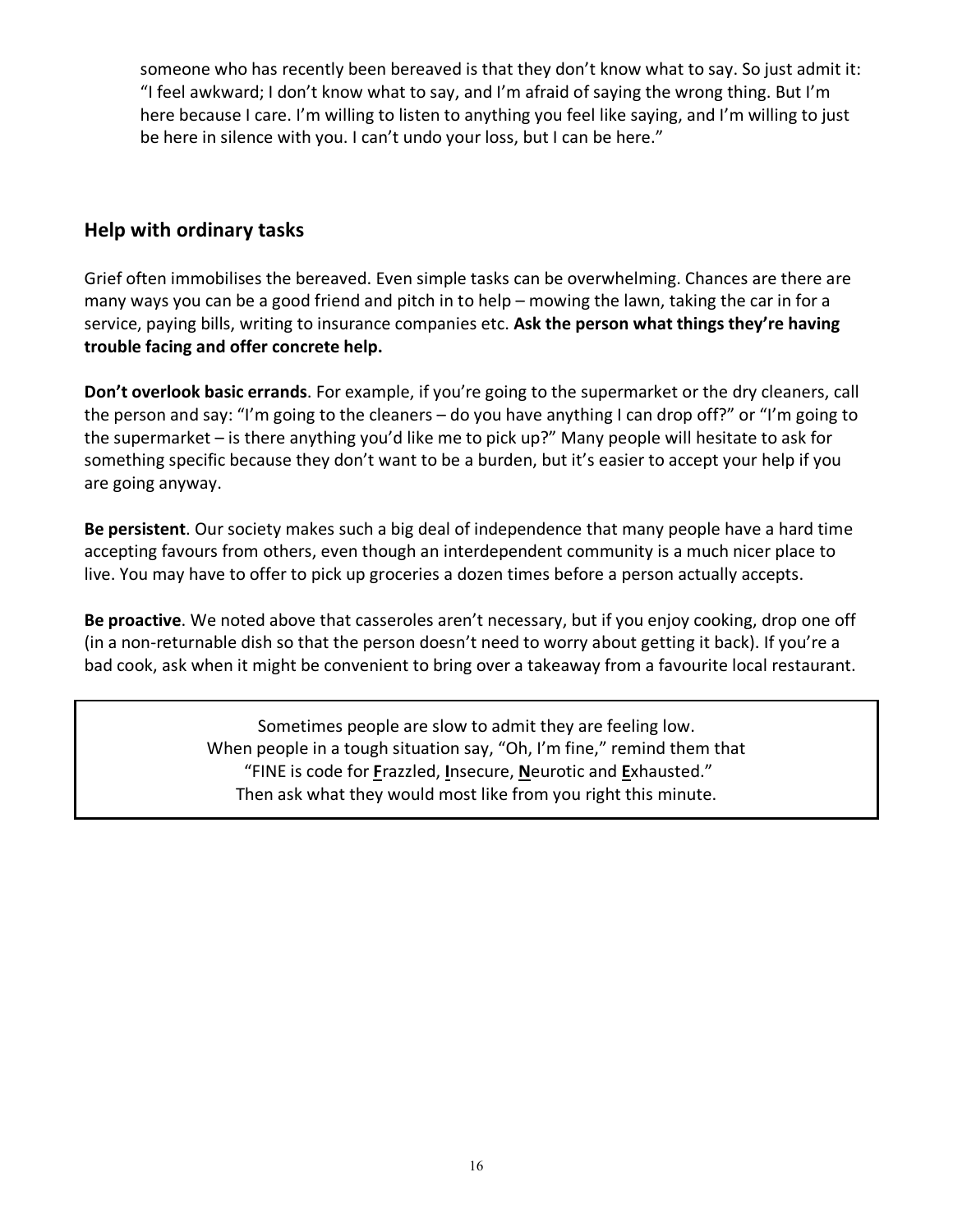someone who has recently been bereaved is that they don't know what to say. So just admit it: "I feel awkward; I don't know what to say, and I'm afraid of saying the wrong thing. But I'm here because I care. I'm willing to listen to anything you feel like saying, and I'm willing to just be here in silence with you. I can't undo your loss, but I can be here."

# **Help with ordinary tasks**

Grief often immobilises the bereaved. Even simple tasks can be overwhelming. Chances are there are many ways you can be a good friend and pitch in to help – mowing the lawn, taking the car in for a service, paying bills, writing to insurance companies etc. **Ask the person what things they're having trouble facing and offer concrete help.**

**Don't overlook basic errands**. For example, if you're going to the supermarket or the dry cleaners, call the person and say: "I'm going to the cleaners – do you have anything I can drop off?" or "I'm going to the supermarket – is there anything you'd like me to pick up?" Many people will hesitate to ask for something specific because they don't want to be a burden, but it's easier to accept your help if you are going anyway.

**Be persistent**. Our society makes such a big deal of independence that many people have a hard time accepting favours from others, even though an interdependent community is a much nicer place to live. You may have to offer to pick up groceries a dozen times before a person actually accepts.

**Be proactive**. We noted above that casseroles aren't necessary, but if you enjoy cooking, drop one off (in a non-returnable dish so that the person doesn't need to worry about getting it back). If you're a bad cook, ask when it might be convenient to bring over a takeaway from a favourite local restaurant.

> Sometimes people are slow to admit they are feeling low. When people in a tough situation say, "Oh, I'm fine," remind them that "FINE is code for **F**razzled, **I**nsecure, **N**eurotic and **E**xhausted." Then ask what they would most like from you right this minute.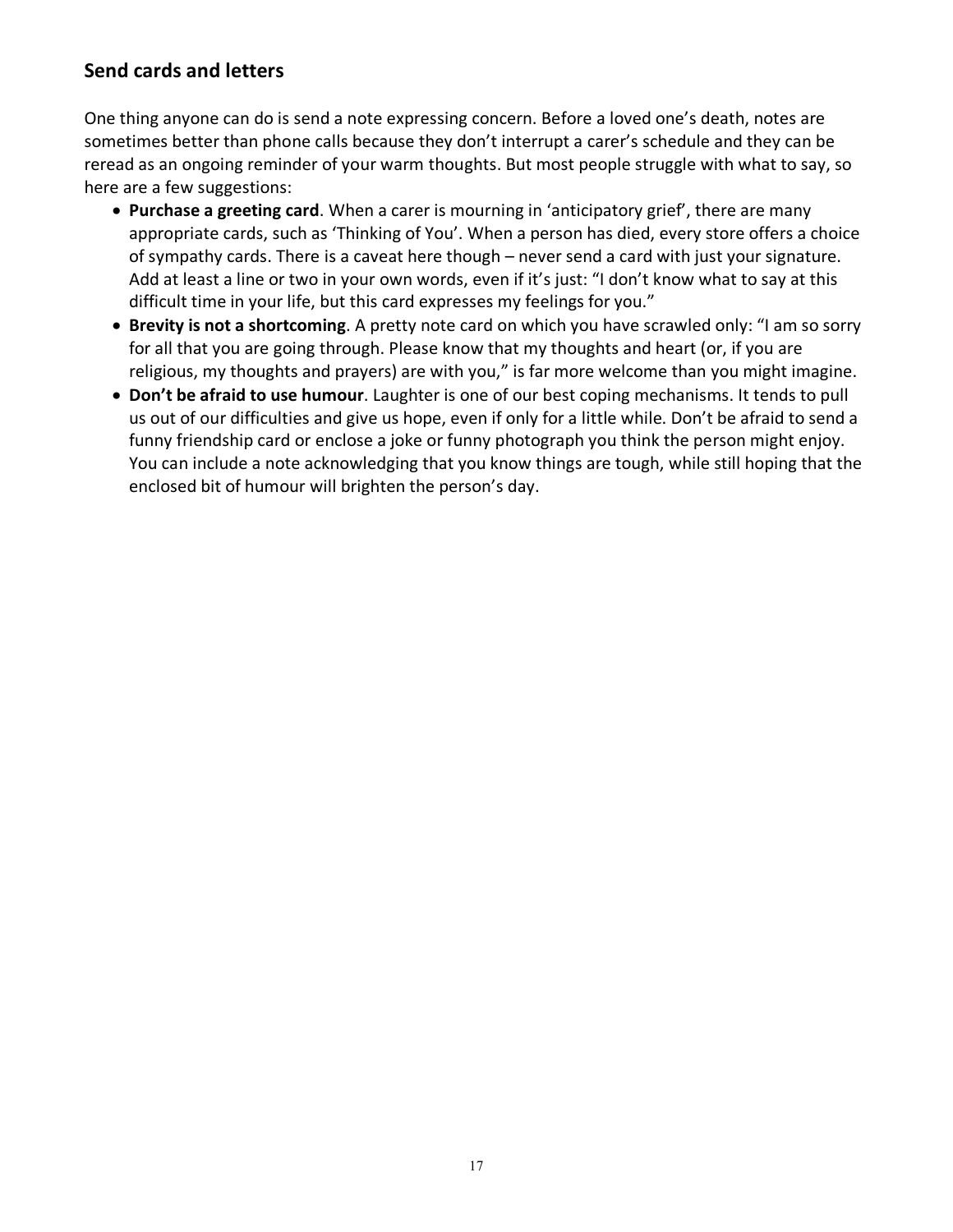# **Send cards and letters**

One thing anyone can do is send a note expressing concern. Before a loved one's death, notes are sometimes better than phone calls because they don't interrupt a carer's schedule and they can be reread as an ongoing reminder of your warm thoughts. But most people struggle with what to say, so here are a few suggestions:

- **Purchase a greeting card**. When a carer is mourning in 'anticipatory grief', there are many appropriate cards, such as 'Thinking of You'. When a person has died, every store offers a choice of sympathy cards. There is a caveat here though – never send a card with just your signature. Add at least a line or two in your own words, even if it's just: "I don't know what to say at this difficult time in your life, but this card expresses my feelings for you."
- **Brevity is not a shortcoming**. A pretty note card on which you have scrawled only: "I am so sorry for all that you are going through. Please know that my thoughts and heart (or, if you are religious, my thoughts and prayers) are with you," is far more welcome than you might imagine.
- **Don't be afraid to use humour**. Laughter is one of our best coping mechanisms. It tends to pull us out of our difficulties and give us hope, even if only for a little while. Don't be afraid to send a funny friendship card or enclose a joke or funny photograph you think the person might enjoy. You can include a note acknowledging that you know things are tough, while still hoping that the enclosed bit of humour will brighten the person's day.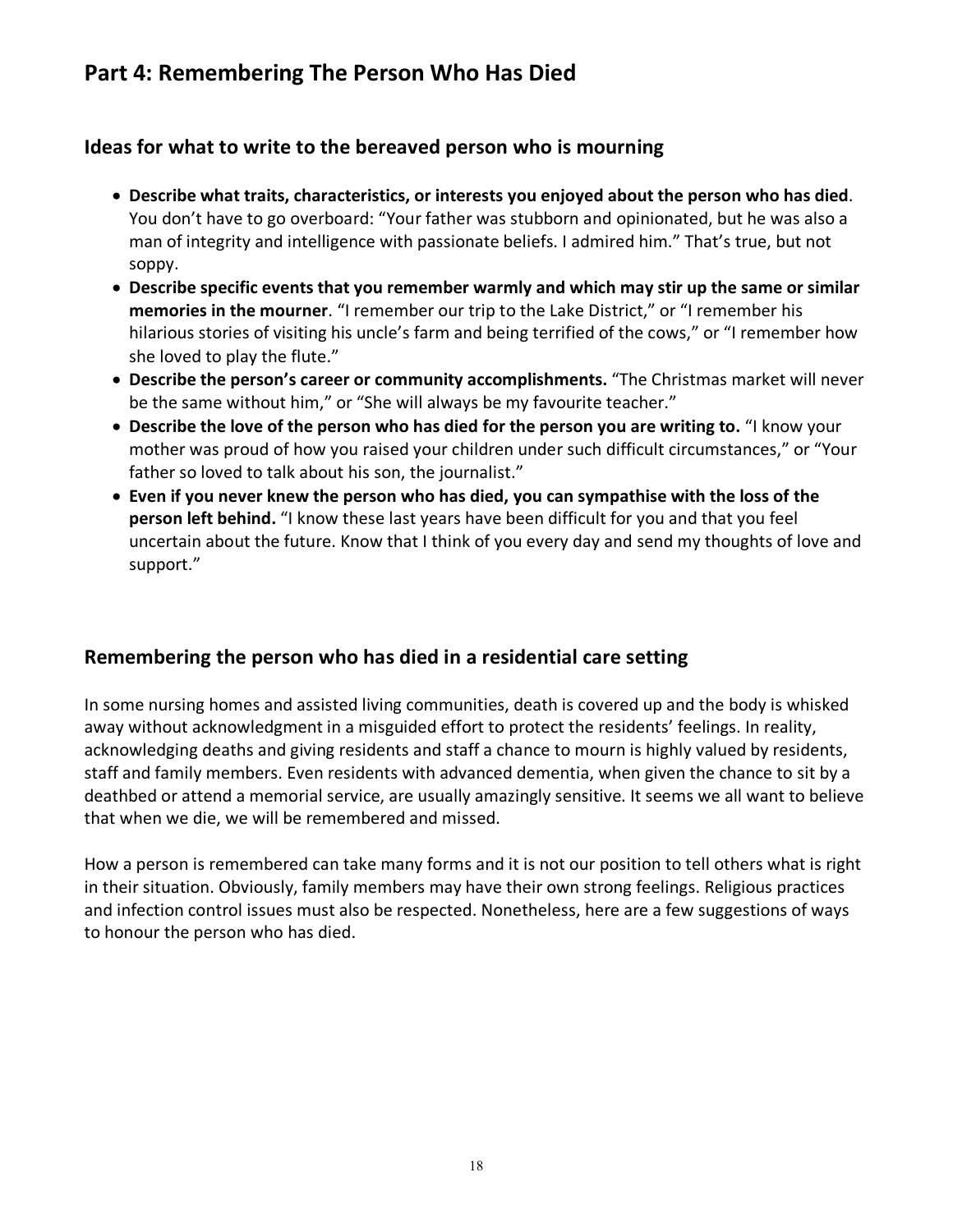# **Part 4: Remembering The Person Who Has Died**

# **Ideas for what to write to the bereaved person who is mourning**

- **Describe what traits, characteristics, or interests you enjoyed about the person who has died**. You don't have to go overboard: "Your father was stubborn and opinionated, but he was also a man of integrity and intelligence with passionate beliefs. I admired him." That's true, but not soppy.
- **Describe specific events that you remember warmly and which may stir up the same or similar memories in the mourner**. "I remember our trip to the Lake District," or "I remember his hilarious stories of visiting his uncle's farm and being terrified of the cows," or "I remember how she loved to play the flute."
- **Describe the person's career or community accomplishments.** "The Christmas market will never be the same without him," or "She will always be my favourite teacher."
- **Describe the love of the person who has died for the person you are writing to.** "I know your mother was proud of how you raised your children under such difficult circumstances," or "Your father so loved to talk about his son, the journalist."
- **Even if you never knew the person who has died, you can sympathise with the loss of the person left behind.** "I know these last years have been difficult for you and that you feel uncertain about the future. Know that I think of you every day and send my thoughts of love and support."

# **Remembering the person who has died in a residential care setting**

In some nursing homes and assisted living communities, death is covered up and the body is whisked away without acknowledgment in a misguided effort to protect the residents' feelings. In reality, acknowledging deaths and giving residents and staff a chance to mourn is highly valued by residents, staff and family members. Even residents with advanced dementia, when given the chance to sit by a deathbed or attend a memorial service, are usually amazingly sensitive. It seems we all want to believe that when we die, we will be remembered and missed.

How a person is remembered can take many forms and it is not our position to tell others what is right in their situation. Obviously, family members may have their own strong feelings. Religious practices and infection control issues must also be respected. Nonetheless, here are a few suggestions of ways to honour the person who has died.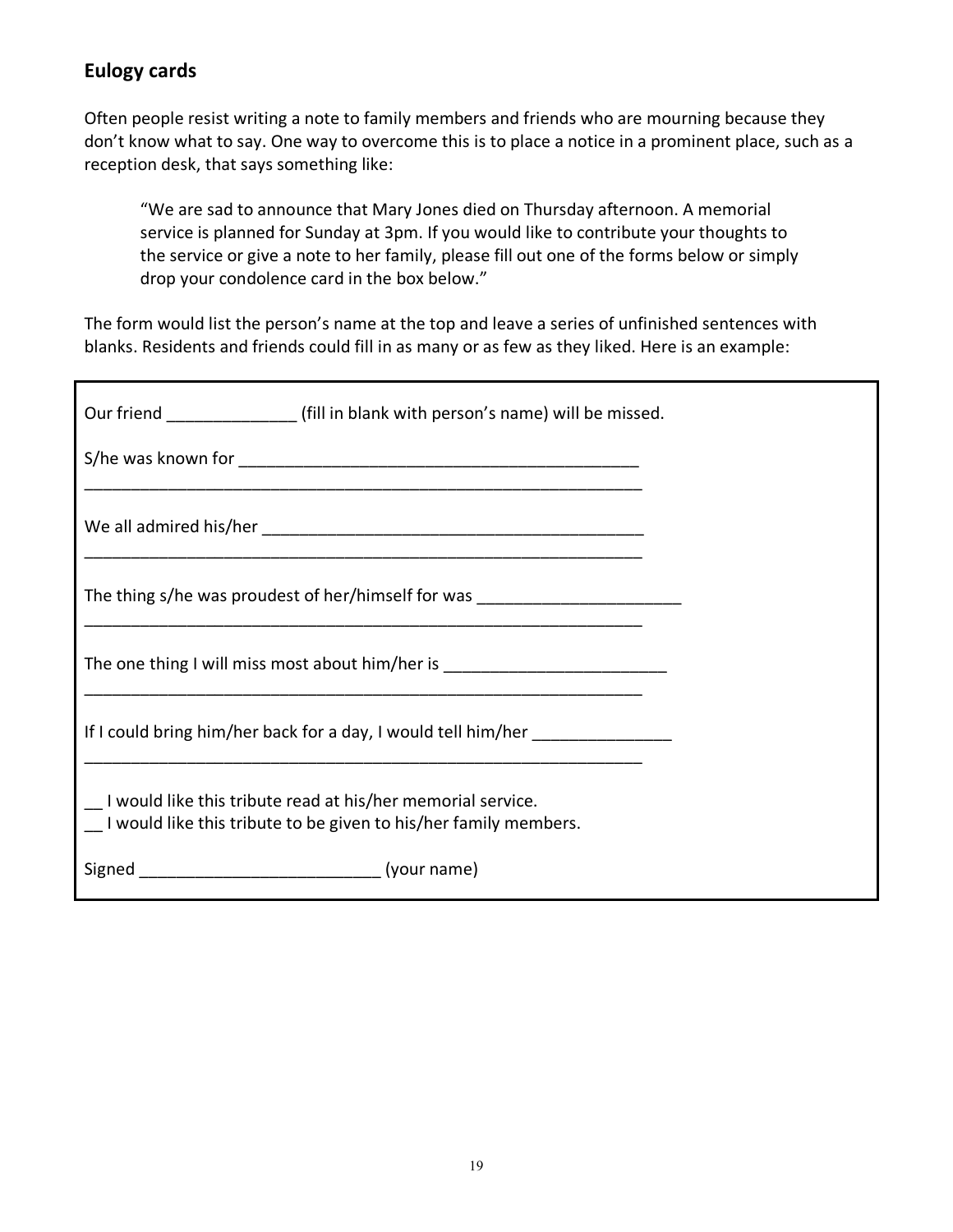# **Eulogy cards**

Often people resist writing a note to family members and friends who are mourning because they don't know what to say. One way to overcome this is to place a notice in a prominent place, such as a reception desk, that says something like:

"We are sad to announce that Mary Jones died on Thursday afternoon. A memorial service is planned for Sunday at 3pm. If you would like to contribute your thoughts to the service or give a note to her family, please fill out one of the forms below or simply drop your condolence card in the box below."

The form would list the person's name at the top and leave a series of unfinished sentences with blanks. Residents and friends could fill in as many or as few as they liked. Here is an example:

| Our friend ______________________(fill in blank with person's name) will be missed.                                             |
|---------------------------------------------------------------------------------------------------------------------------------|
|                                                                                                                                 |
|                                                                                                                                 |
| The thing s/he was proudest of her/himself for was _____________________________                                                |
| The one thing I will miss most about him/her is ________________________________                                                |
| If I could bring him/her back for a day, I would tell him/her _________________                                                 |
| I would like this tribute read at his/her memorial service.<br>I would like this tribute to be given to his/her family members. |
|                                                                                                                                 |